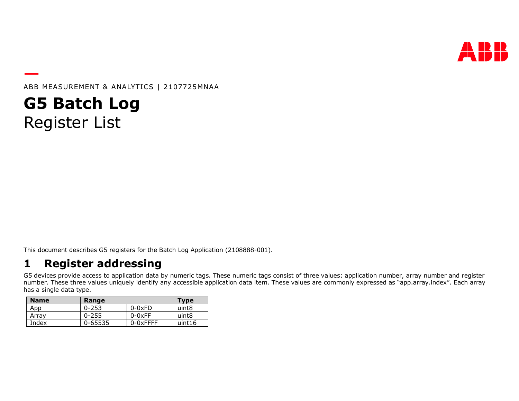

ABB MEASUREMENT & ANALYTICS | 2107725MNAA

**G5 Batch Log** Register List

This document describes G5 registers for the Batch Log Application (2108888-001).

## **1 Register addressing**

G5 devices provide access to application data by numeric tags. These numeric tags consist of three values: application number, array number and register number. These three values uniquely identify any accessible application data item. These values are commonly expressed as "app.array.index". Each array has a single data type.

| <b>Name</b> | Range     |               | <b>Type</b> |
|-------------|-----------|---------------|-------------|
| App         | $0 - 253$ | $0-0xFD$      | uint8       |
| Arrav       | $0 - 255$ | $0-0xFF$      | uint8       |
| Index       | 0-65535   | $0 - 0x$ FFFF | uint16      |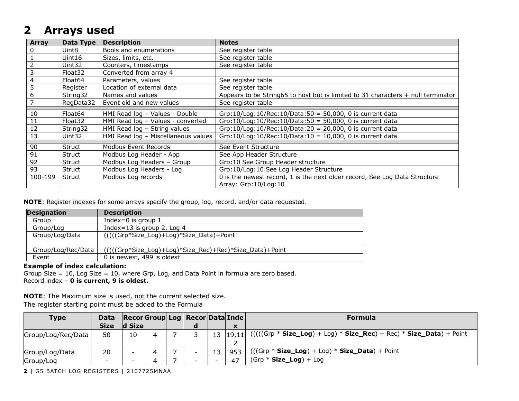## **2 Arrays used**

| Array          | Data Type           | <b>Description</b>                  | <b>Notes</b>                                                                       |
|----------------|---------------------|-------------------------------------|------------------------------------------------------------------------------------|
| $\mathbf{0}$   | Uint8               | Bools and enumerations              | See register table                                                                 |
|                | Uint16              | Sizes, limits, etc.                 | See register table                                                                 |
| 2              | Uint32              | Counters, timestamps                | See register table                                                                 |
| 3              | Float <sub>32</sub> | Converted from array 4              |                                                                                    |
| $\overline{4}$ | Float <sub>64</sub> | Parameters, values                  | See register table                                                                 |
| 5              | Register            | Location of external data           | See register table                                                                 |
| 6              | String32            | Names and values                    | Appears to be String65 to host but is limited to 31 characters $+$ null terminator |
| 7              | RegData32           | Event old and new values            | See register table                                                                 |
|                |                     |                                     |                                                                                    |
| 10             | Float64             | HMI Read log - Values - Double      | Grp:10/Log:10/Rec:10/Data:50 = 50,000, 0 is current data                           |
| 11             | Float <sub>32</sub> | HMI Read log - Values - converted   | Grp:10/Log:10/Rec:10/Data:50 = 50,000, 0 is current data                           |
| 12             | String32            | HMI Read log - String values        | Grp:10/Log:10/Rec:10/Data:20 = 20,000, 0 is current data                           |
| 13             | Uint32              | HMI Read log - Miscellaneous values | Grp:10/Log:10/Rec:10/Data:10 = 10,000, 0 is current data                           |
|                |                     |                                     |                                                                                    |
| 90             | Struct              | Modbus Event Records                | See Event Structure                                                                |
| 91             | Struct              | Modbus Log Header - App             | See App Header Structure                                                           |
| 92             | Struct              | Modbus Log Headers - Group          | Grp:10 See Group Header structure                                                  |
| 93             | Struct              | Modbus Log Headers - Log            | Grp:10/Log:10 See Log Header Structure                                             |
| 100-199        | Struct              | Modbus Log records                  | 0 is the newest record, 1 is the next older record, See Log Data Structure         |
|                |                     |                                     | Array: Grp:10/Log:10                                                               |

**NOTE**: Register indexes for some arrays specify the group, log, record, and/or data requested.

| <b>Designation</b> | <b>Description</b>                                      |
|--------------------|---------------------------------------------------------|
| Group              | Index=0 is group $1$                                    |
| Group/Log          | Index=13 is group 2, Log 4                              |
| Group/Log/Data     | ((((Grp*Size_Log)+Log)*Size_Data)+Point                 |
| Group/Log/Rec/Data | (((((Grp*Size_Log)+Log)*Size_Rec)+Rec)*Size_Data)+Point |
| Event              | 0 is newest, 499 is oldest                              |

#### **Example of index calculation:**

Group Size = 10, Log Size = 10, where Grp, Log, and Data Point in formula are zero based. Record index – **0 is current, 9 is oldest.**

**NOTE:** The Maximum size is used, not the current selected size. The register starting point must be added to the Formula

| <b>Type</b>        | <b>Data</b> |        |  | Recor Group Log   Recor   Data   Inde |    |                                      | <b>Formula</b>                                                           |
|--------------------|-------------|--------|--|---------------------------------------|----|--------------------------------------|--------------------------------------------------------------------------|
|                    | <b>Size</b> | d Size |  | a                                     |    | $\mathbf{v}$<br>$\ddot{\phantom{a}}$ |                                                                          |
| Group/Log/Rec/Data | 50          | 10     |  |                                       |    | $13 \vert 19,11 \vert$               | $(((((Grp * Size\_Log) + Log) * Size\_Rec) + Rec) * Size\_Data) + Point$ |
| Group/Log/Data     | 20          |        |  | $\overline{\phantom{0}}$              | 13 | 953                                  | $(((Grp * Size\_Log) + Log) * Size\_Data) + Point$                       |
| Group/Log          | -           |        |  | $\overline{\phantom{0}}$              |    | 47                                   | $(Grp * Size\_Log) + Log$                                                |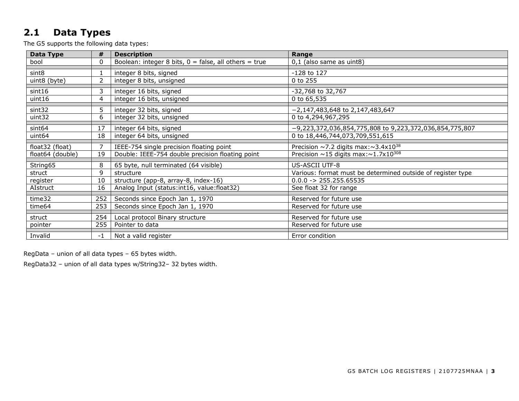## <span id="page-2-0"></span>**2.1 Data Types**

The G5 supports the following data types:

| <b>Data Type</b>   | #        | <b>Description</b>                                      | Range                                                        |
|--------------------|----------|---------------------------------------------------------|--------------------------------------------------------------|
| bool               | $\Omega$ | Boolean: integer 8 bits, $0 =$ false, all others = true | 0,1 (also same as uint8)                                     |
| sint8              |          | integer 8 bits, signed                                  | -128 to 127                                                  |
| uint8 (byte)       | 2        | integer 8 bits, unsigned                                | 0 to 255                                                     |
|                    |          |                                                         |                                                              |
| sint16             | 3        | integer 16 bits, signed                                 | -32,768 to 32,767                                            |
| uint16             | 4        | integer 16 bits, unsigned                               | 0 to 65,535                                                  |
| sint32             | 5        | integer 32 bits, signed                                 | $-2,147,483,648$ to 2,147,483,647                            |
| uint32             | 6        | integer 32 bits, unsigned                               | 0 to 4,294,967,295                                           |
| sint <sub>64</sub> | 17       | integer 64 bits, signed                                 | -9,223,372,036,854,775,808 to 9,223,372,036,854,775,807      |
| uint <sub>64</sub> | 18       | integer 64 bits, unsigned                               | 0 to 18,446,744,073,709,551,615                              |
| float32 (float)    |          | IEEE-754 single precision floating point                | Precision $\sim$ 7.2 digits max: $\sim$ 3.4x10 <sup>38</sup> |
| float64 (double)   | 19       | Double: IEEE-754 double precision floating point        | Precision $\sim$ 15 digits max: $\sim$ 1.7x10 <sup>308</sup> |
|                    |          |                                                         |                                                              |
| String65           | 8        | 65 byte, null terminated (64 visible)                   | US-ASCII UTF-8                                               |
| struct             | 9        | structure                                               | Various: format must be determined outside of register type  |
| register           | 10       | structure (app-8, array-8, index-16)                    | $0.0.0 -> 255.255.65535$                                     |
| AIstruct           | 16       | Analog Input (status: int16, value: float32)            | See float 32 for range                                       |
| time32             | 252      | Seconds since Epoch Jan 1, 1970                         | Reserved for future use                                      |
| time64             | 253      | Seconds since Epoch Jan 1, 1970                         | Reserved for future use                                      |
| struct             | 254      | Local protocol Binary structure                         | Reserved for future use                                      |
| pointer            | 255      | Pointer to data                                         | Reserved for future use                                      |
|                    |          |                                                         |                                                              |
| Invalid            | -1       | Not a valid register                                    | Error condition                                              |

RegData – union of all data types – 65 bytes width.

RegData32 – union of all data types w/String32– 32 bytes width.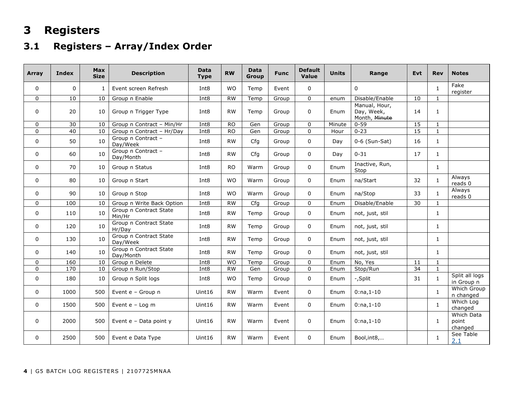# **3 Registers**

## **3.1 Registers – Array/Index Order**

| Array       | Index       | <b>Max</b><br><b>Size</b> | <b>Description</b>                  | <b>Data</b><br><b>Type</b> | <b>RW</b> | <b>Data</b><br>Group | <b>Func</b> | <b>Default</b><br>Value | <b>Units</b> | Range                                        | Evt | <b>Rev</b>   | <b>Notes</b>                          |
|-------------|-------------|---------------------------|-------------------------------------|----------------------------|-----------|----------------------|-------------|-------------------------|--------------|----------------------------------------------|-----|--------------|---------------------------------------|
| $\mathbf 0$ | $\mathbf 0$ |                           | Event screen Refresh                | Int <sub>8</sub>           | <b>WO</b> | Temp                 | Event       | 0                       |              | 0                                            |     | 1            | Fake<br>register                      |
| $\mathbf 0$ | 10          | 10                        | Group n Enable                      | Int8                       | <b>RW</b> | Temp                 | Group       | 0                       | enum         | Disable/Enable                               | 10  | $\mathbf{1}$ |                                       |
| $\mathbf 0$ | 20          | 10                        | Group n Trigger Type                | Int <sub>8</sub>           | <b>RW</b> | Temp                 | Group       | $\mathbf 0$             | Enum         | Manual, Hour,<br>Day, Week,<br>Month, Minute | 14  | $\mathbf{1}$ |                                       |
| 0           | 30          | 10                        | Group n Contract - Min/Hr           | Int <sub>8</sub>           | <b>RO</b> | Gen                  | Group       | 0                       | Minute       | $0 - 59$                                     | 15  | 1            |                                       |
| $\mathbf 0$ | 40          | 10                        | Group n Contract - Hr/Day           | Int8                       | <b>RO</b> | Gen                  | Group       | 0                       | Hour         | $0 - 23$                                     | 15  | $\mathbf{1}$ |                                       |
| $\mathbf 0$ | 50          | 10                        | Group n Contract -<br>Day/Week      | Int <sub>8</sub>           | <b>RW</b> | Cfg                  | Group       | 0                       | Day          | $0-6$ (Sun-Sat)                              | 16  | $\mathbf{1}$ |                                       |
| $\Omega$    | 60          | 10                        | Group n Contract -<br>Day/Month     | Int <sub>8</sub>           | <b>RW</b> | Cfg                  | Group       | $\Omega$                | Day          | $0 - 31$                                     | 17  | $\mathbf{1}$ |                                       |
| $\mathbf 0$ | 70          | 10                        | Group n Status                      | Int <sub>8</sub>           | <b>RO</b> | Warm                 | Group       | 0                       | Enum         | Inactive, Run,<br>Stop                       |     | $\mathbf{1}$ |                                       |
| 0           | 80          | 10                        | Group n Start                       | Int <sub>8</sub>           | <b>WO</b> | Warm                 | Group       | 0                       | Enum         | na/Start                                     | 32  | $\mathbf{1}$ | Always<br>$reads$ <sup>0</sup>        |
| $\mathbf 0$ | 90          | 10                        | Group n Stop                        | Int <sub>8</sub>           | <b>WO</b> | Warm                 | Group       | $\Omega$                | Enum         | na/Stop                                      | 33  | $\mathbf{1}$ | Always<br>reads 0                     |
| $\Omega$    | 100         | 10                        | Group n Write Back Option           | Int <sub>8</sub>           | <b>RW</b> | Cfg                  | Group       | $\Omega$                | Enum         | Disable/Enable                               | 30  | $\mathbf{1}$ |                                       |
| $\mathbf 0$ | 110         | 10                        | Group n Contract State<br>Min/Hr    | Int8                       | <b>RW</b> | Temp                 | Group       | 0                       | Enum         | not, just, stil                              |     | $\mathbf{1}$ |                                       |
| 0           | 120         | 10                        | Group n Contract State<br>Hr/Day    | Int <sub>8</sub>           | <b>RW</b> | Temp                 | Group       | 0                       | Enum         | not, just, stil                              |     | $\mathbf{1}$ |                                       |
| 0           | 130         | 10                        | Group n Contract State<br>Day/Week  | Int <sub>8</sub>           | <b>RW</b> | Temp                 | Group       | 0                       | Enum         | not, just, stil                              |     | 1            |                                       |
| 0           | 140         | 10                        | Group n Contract State<br>Day/Month | Int <sub>8</sub>           | <b>RW</b> | Temp                 | Group       | 0                       | Enum         | not, just, stil                              |     | $\mathbf{1}$ |                                       |
| $\mathbf 0$ | 160         | 10                        | Group n Delete                      | Int <sub>8</sub>           | <b>WO</b> | Temp                 | Group       | 0                       | Enum         | No, Yes                                      | 11  | $\mathbf{1}$ |                                       |
| $\mathbf 0$ | 170         | 10                        | Group n Run/Stop                    | Int <sub>8</sub>           | <b>RW</b> | Gen                  | Group       | 0                       | Enum         | Stop/Run                                     | 34  | $\mathbf{1}$ |                                       |
| $\mathbf 0$ | 180         | 10                        | Group n Split logs                  | Int <sub>8</sub>           | <b>WO</b> | Temp                 | Group       | 0                       | Enum         | -,Split                                      | 31  | $\mathbf{1}$ | Split all logs<br>in Group n          |
| 0           | 1000        | 500                       | Event e - Group n                   | Uint16                     | <b>RW</b> | Warm                 | Event       | 0                       | Enum         | $0:na,1-10$                                  |     | $\mathbf{1}$ | Which Group<br>n changed              |
| 0           | 1500        | 500                       | Event e - Log m                     | Uint16                     | <b>RW</b> | Warm                 | Event       | 0                       | Enum         | $0:na,1-10$                                  |     | $\mathbf{1}$ | Which Log<br>changed                  |
| $\mathbf 0$ | 2000        | 500                       | Event e - Data point y              | Uint16                     | <b>RW</b> | Warm                 | Event       | $\mathbf 0$             | Enum         | $0:na,1-10$                                  |     | $\mathbf{1}$ | <b>Which Data</b><br>point<br>changed |
| $\mathbf 0$ | 2500        | 500                       | Event e Data Type                   | Uint16                     | <b>RW</b> | Warm                 | Event       | 0                       | Enum         | Bool, int8,                                  |     | $\mathbf{1}$ | See Table<br>2.1                      |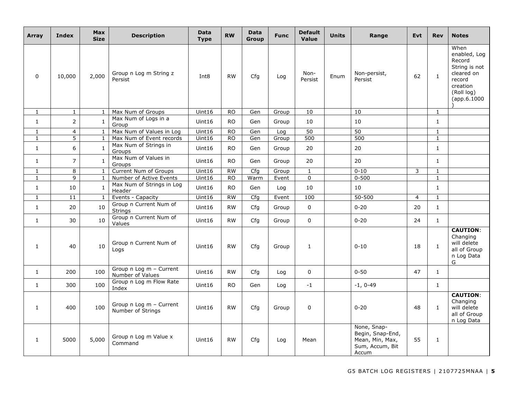| Array        | <b>Index</b>    | <b>Max</b><br><b>Size</b> | <b>Description</b>                                   | <b>Data</b><br><b>Type</b> | <b>RW</b> | <b>Data</b><br>Group | <b>Func</b> | <b>Default</b><br>Value | <b>Units</b> | Range                                                                          | <b>Evt</b>     | <b>Rev</b>   | <b>Notes</b>                                                                                                     |
|--------------|-----------------|---------------------------|------------------------------------------------------|----------------------------|-----------|----------------------|-------------|-------------------------|--------------|--------------------------------------------------------------------------------|----------------|--------------|------------------------------------------------------------------------------------------------------------------|
| $\mathbf 0$  | 10,000          | 2,000                     | Group n Log m String z<br>Persist                    | Int <sub>8</sub>           | <b>RW</b> | Cfg                  | Log         | Non-<br>Persist         | Enum         | Non-persist,<br>Persist                                                        | 62             | $\mathbf{1}$ | When<br>enabled, Log<br>Record<br>String is not<br>cleared on<br>record<br>creation<br>(Roll log)<br>(app.6.1000 |
| $\mathbf{1}$ | $\mathbf{1}$    | $\mathbf{1}$              | Max Num of Groups                                    | Uint16                     | <b>RO</b> | Gen                  | Group       | 10                      |              | 10                                                                             |                | $\mathbf{1}$ |                                                                                                                  |
| $\mathbf{1}$ | $2^{\circ}$     | $\mathbf{1}$              | Max Num of Logs in a<br>Group                        | Uint16                     | <b>RO</b> | Gen                  | Group       | 10                      |              | 10                                                                             |                | $\mathbf{1}$ |                                                                                                                  |
| $\mathbf{1}$ | $\overline{4}$  | $\mathbf{1}$              | Max Num of Values in Log                             | Uint16                     | <b>RO</b> | Gen                  | Log         | 50                      |              | 50                                                                             |                | $\mathbf{1}$ |                                                                                                                  |
| $\mathbf{1}$ | $\overline{5}$  | $\mathbf{1}$              | Max Num of Event records<br>Max Num of Strings in    | Uint16                     | <b>RO</b> | Gen                  | Group       | 500                     |              | 500                                                                            |                | $\mathbf{1}$ |                                                                                                                  |
| $\mathbf{1}$ | 6               | $\mathbf{1}$              | Groups                                               | Uint16                     | <b>RO</b> | Gen                  | Group       | 20                      |              | 20                                                                             |                | $\mathbf{1}$ |                                                                                                                  |
| $\mathbf{1}$ | $\overline{7}$  | $\mathbf{1}$              | Max Num of Values in<br>Groups                       | Uint16                     | <b>RO</b> | Gen                  | Group       | 20                      |              | 20                                                                             |                | 1            |                                                                                                                  |
| $\mathbf{1}$ | 8               | 1                         | Current Num of Groups                                | Uint16                     | <b>RW</b> | Cfg                  | Group       | $\mathbf{1}$            |              | $0 - 10$                                                                       | $\mathsf{3}$   | $\mathbf{1}$ |                                                                                                                  |
| $\mathbf{1}$ | 9               | $\mathbf{1}$              | Number of Active Events<br>Max Num of Strings in Log | Uint16                     | <b>RO</b> | Warm                 | Event       | $\mathbf 0$             |              | $0 - 500$                                                                      |                | $\mathbf{1}$ |                                                                                                                  |
| $\mathbf{1}$ | 10              | 1                         | Header                                               | Uint16                     | <b>RO</b> | Gen                  | Log         | 10                      |              | 10                                                                             |                | $\mathbf{1}$ |                                                                                                                  |
| $\mathbf{1}$ | $\overline{11}$ | 1                         | Events - Capacity                                    | Uint16                     | RW        | Cfg                  | Event       | 100                     |              | $50 - 500$                                                                     | $\overline{4}$ | $\mathbf{1}$ |                                                                                                                  |
| $\mathbf{1}$ | 20              | 10                        | Group n Current Num of<br><b>Strings</b>             | Uint16                     | <b>RW</b> | Cfg                  | Group       | $\Omega$                |              | $0 - 20$                                                                       | 20             | $\mathbf{1}$ |                                                                                                                  |
| $\mathbf{1}$ | 30              | 10                        | Group n Current Num of<br>Values                     | Uint16                     | <b>RW</b> | Cfg                  | Group       | $\Omega$                |              | $0 - 20$                                                                       | 24             | $\mathbf{1}$ |                                                                                                                  |
| $\mathbf{1}$ | 40              | 10                        | Group n Current Num of<br>Logs                       | Uint16                     | <b>RW</b> | Cfg                  | Group       | $\mathbf{1}$            |              | $0 - 10$                                                                       | 18             | $\mathbf{1}$ | <b>CAUTION:</b><br>Changing<br>will delete<br>all of Group<br>n Log Data<br>G                                    |
| $\mathbf{1}$ | 200             | 100                       | Group n Log m - Current<br>Number of Values          | Uint16                     | <b>RW</b> | Cfg                  | Log         | $\overline{0}$          |              | $0 - 50$                                                                       | 47             | $\mathbf{1}$ |                                                                                                                  |
| $\mathbf{1}$ | 300             | 100                       | Group n Log m Flow Rate<br>Index                     | Uint16                     | <b>RO</b> | Gen                  | Log         | $-1$                    |              | $-1, 0-49$                                                                     |                | $\mathbf{1}$ |                                                                                                                  |
| $\mathbf{1}$ | 400             | 100                       | Group n Log m - Current<br>Number of Strings         | Uint16                     | <b>RW</b> | Cfg                  | Group       | $\Omega$                |              | $0 - 20$                                                                       | 48             | $\mathbf{1}$ | <b>CAUTION:</b><br>Changing<br>will delete<br>all of Group<br>n Log Data                                         |
| 1            | 5000            | 5,000                     | Group n Log m Value x<br>Command                     | Uint16                     | <b>RW</b> | Cfg                  | Log         | Mean                    |              | None, Snap-<br>Begin, Snap-End,<br>Mean, Min, Max,<br>Sum, Accum, Bit<br>Accum | 55             | 1            |                                                                                                                  |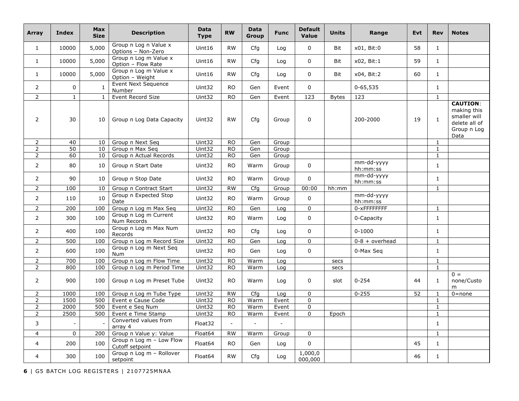| Array          | Index                    | <b>Max</b><br><b>Size</b> | <b>Description</b>                          | <b>Data</b><br><b>Type</b> | <b>RW</b> | <b>Data</b><br><b>Group</b> | <b>Func</b>    | <b>Default</b><br>Value | <b>Units</b> | Range                  | <b>Evt</b> | <b>Rev</b>   | <b>Notes</b>                                                                           |
|----------------|--------------------------|---------------------------|---------------------------------------------|----------------------------|-----------|-----------------------------|----------------|-------------------------|--------------|------------------------|------------|--------------|----------------------------------------------------------------------------------------|
| $\mathbf{1}$   | 10000                    | 5,000                     | Group n Log n Value x<br>Options - Non-Zero | Uint16                     | <b>RW</b> | Cfg                         | Log            | 0                       | <b>Bit</b>   | x01, Bit:0             | 58         | $\mathbf{1}$ |                                                                                        |
| $\mathbf{1}$   | 10000                    | 5,000                     | Group n Log m Value x<br>Option - Flow Rate | Uint16                     | <b>RW</b> | Cfg                         | Log            | 0                       | <b>Bit</b>   | x02, Bit:1             | 59         | $\mathbf{1}$ |                                                                                        |
| $\mathbf{1}$   | 10000                    | 5,000                     | Group n Log m Value x<br>Option - Weight    | Uint16                     | <b>RW</b> | Cfq                         | Log            | 0                       | Bit          | x04, Bit:2             | 60         | $\mathbf{1}$ |                                                                                        |
| $\overline{2}$ | 0                        | 1                         | Event Next Sequence<br>Number               | Uint32                     | RO.       | Gen                         | Event          | $\Omega$                |              | $0 - 65,535$           |            | $\mathbf{1}$ |                                                                                        |
| $\overline{2}$ | $\mathbf{1}$             | $\mathbf{1}$              | Event Record Size                           | Uint32                     | <b>RO</b> | Gen                         | Event          | $\frac{1}{2}$           | <b>Bytes</b> | 123                    |            | $\mathbf{1}$ |                                                                                        |
| $\overline{2}$ | 30                       | 10                        | Group n Log Data Capacity                   | Uint32                     | <b>RW</b> | Cfg                         | Group          | 0                       |              | 200-2000               | 19         | $\mathbf{1}$ | <b>CAUTION:</b><br>making this<br>smaller will<br>delete all of<br>Group n Log<br>Data |
| $\overline{2}$ | 40                       | 10                        | Group n Next Seq                            | Uint32                     | <b>RO</b> | Gen                         | Group          |                         |              |                        |            | $\mathbf{1}$ |                                                                                        |
| $\overline{2}$ | 50                       | 10                        | Group n Max Seq                             | Uint32                     | <b>RO</b> | Gen                         | Group          |                         |              |                        |            | $\mathbf{1}$ |                                                                                        |
| $\overline{2}$ | 60                       | 10                        | Group n Actual Records                      | Uint32                     | <b>RO</b> | Gen                         | Group          |                         |              |                        |            | 1            |                                                                                        |
| $\overline{2}$ | 80                       | 10                        | Group n Start Date                          | Uint32                     | <b>RO</b> | Warm                        | Group          | 0                       |              | mm-dd-yyyy<br>hh:mm:ss |            | $\mathbf{1}$ |                                                                                        |
| $\overline{2}$ | 90                       | 10                        | Group n Stop Date                           | Uint32                     | RO.       | Warm                        | Group          | $\Omega$                |              | mm-dd-yyyy<br>hh:mm:ss |            | $\mathbf{1}$ |                                                                                        |
| $\overline{2}$ | 100                      | 10                        | Group n Contract Start                      | Uint32                     | <b>RW</b> | Cfg                         | Group          | 00:00                   | hh:mm        |                        |            | $\mathbf{1}$ |                                                                                        |
| $\overline{2}$ | 110                      | 10                        | Group n Expected Stop<br>Date               | Uint32                     | <b>RO</b> | Warm                        | Group          | $\Omega$                |              | mm-dd-yyyy<br>hh:mm:ss |            |              |                                                                                        |
| $\overline{2}$ | 200                      | 100                       | Group n Log m Max Seq                       | Uint32                     | <b>RO</b> | Gen                         | Log            | $\mathbf 0$             |              | 0-xFFFFFFFF            |            | $\mathbf{1}$ |                                                                                        |
| $\overline{2}$ | 300                      | 100                       | Group n Log m Current<br>Num Records        | Uint32                     | <b>RO</b> | Warm                        | Log            | 0                       |              | 0-Capacity             |            | $\mathbf{1}$ |                                                                                        |
| $\overline{2}$ | 400                      | 100                       | Group n Log m Max Num<br>Records            | Uint32                     | <b>RO</b> | Cfg                         | Log            | 0                       |              | $0 - 1000$             |            | $\mathbf{1}$ |                                                                                        |
| $\overline{2}$ | 500                      | 100                       | Group n Log m Record Size                   | Uint32                     | <b>RO</b> | Gen                         | Log            | 0                       |              | $0-8 + overhead$       |            | $\mathbf{1}$ |                                                                                        |
| $\overline{2}$ | 600                      | 100                       | Group n Log m Next Seq<br><b>Num</b>        | Uint32                     | <b>RO</b> | Gen                         | Log            | 0                       |              | 0-Max Seg              |            | $\mathbf{1}$ |                                                                                        |
| $\overline{2}$ | 700                      | 100                       | Group n Log m Flow Time                     | Uint32                     | <b>RO</b> | Warm                        | Log            |                         | secs         |                        |            | $\mathbf{1}$ |                                                                                        |
| $\overline{2}$ | 800                      | 100                       | Group n Log m Period Time                   | Uint32                     | <b>RO</b> | Warm                        | Log            |                         | secs         |                        |            | $\mathbf{1}$ |                                                                                        |
| $\overline{2}$ | 900                      | 100                       | Group n Log m Preset Tube                   | Uint32                     | RO.       | Warm                        | Log            | 0                       | slot         | $0 - 254$              | 44         | $\mathbf{1}$ | $0 =$<br>none/Custo<br>m                                                               |
| $\overline{2}$ | 1000                     | 100                       | Group n Log m Tube Type                     | Uint32                     | <b>RW</b> | Cfg                         | Log            | $\Omega$                |              | $0 - 255$              | 52         | $\mathbf{1}$ | $0 = none$                                                                             |
| 2              | 1500                     | 500                       | Event e Cause Code                          | Uint32                     | <b>RO</b> | Warm                        | Event          | 0                       |              |                        |            | $\mathbf{1}$ |                                                                                        |
| $\overline{2}$ | 2000                     | 500                       | Event e Seg Num                             | Uint32                     | <b>RO</b> | Warm                        | Event          | 0                       |              |                        |            | 1            |                                                                                        |
| $\overline{2}$ | 2500                     | 500                       | Event e Time Stamp                          | Uint32                     | <b>RO</b> | Warm                        | Event          | 0                       | Epoch        |                        |            | $\mathbf{1}$ |                                                                                        |
| 3              | $\overline{\phantom{a}}$ |                           | Converted values from<br>array 4            | Float32                    |           | $\overline{a}$              | $\overline{a}$ |                         |              |                        |            | $\mathbf{1}$ |                                                                                        |
| $\overline{4}$ | $\mathbf 0$              | 200                       | Group n Value y: Value                      | Float64                    | <b>RW</b> | Warm                        | Group          | 0                       |              |                        |            | $\mathbf{1}$ |                                                                                        |
| 4              | 200                      | 100                       | Group n Log m - Low Flow<br>Cutoff setpoint | Float64                    | <b>RO</b> | Gen                         | Log            | 0                       |              |                        | 45         | $\mathbf{1}$ |                                                                                        |
| 4              | 300                      | 100                       | Group n Log m - Rollover<br>setpoint        | Float64                    | <b>RW</b> | Cfg                         | Log            | 1,000,0<br>000,000      |              |                        | 46         | $\mathbf{1}$ |                                                                                        |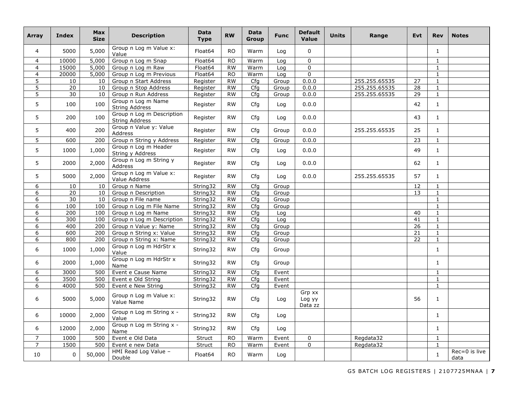| Array          | <b>Index</b>    | <b>Max</b><br><b>Size</b> | <b>Description</b>                                 | <b>Data</b><br><b>Type</b> | <b>RW</b> | <b>Data</b><br>Group | <b>Func</b> | <b>Default</b><br><b>Value</b> | <b>Units</b> | Range         | <b>Evt</b>      | <b>Rev</b>   | <b>Notes</b>              |
|----------------|-----------------|---------------------------|----------------------------------------------------|----------------------------|-----------|----------------------|-------------|--------------------------------|--------------|---------------|-----------------|--------------|---------------------------|
| $\overline{4}$ | 5000            | 5,000                     | Group n Log m Value x:<br>Value                    | Float64                    | <b>RO</b> | Warm                 | Log         | $\Omega$                       |              |               |                 | $\mathbf{1}$ |                           |
| $\overline{4}$ | 10000           | 5,000                     | Group n Log m Snap                                 | Float64                    | <b>RO</b> | Warm                 | Log         | $\Omega$                       |              |               |                 | $\mathbf{1}$ |                           |
| $\overline{4}$ | 15000           | 5,000                     | Group n Log m Raw                                  | Float64                    | <b>RW</b> | Warm                 | Log         | $\Omega$                       |              |               |                 | 1            |                           |
| $\overline{4}$ | 20000           | 5,000                     | Group n Log m Previous                             | Float64                    | <b>RO</b> | Warm                 | Log         | $\Omega$                       |              |               |                 | $\mathbf{1}$ |                           |
| $\overline{5}$ | 10              | 10                        | Group n Start Address                              | Register                   | <b>RW</b> | Cfg                  | Group       | 0.0.0                          |              | 255.255.65535 | 27              | $\mathbf{1}$ |                           |
| 5              | 20              | 10                        | Group n Stop Address                               | Register                   | <b>RW</b> | Cfg                  | Group       | 0.0.0                          |              | 255.255.65535 | 28              | $\mathbf{1}$ |                           |
| 5              | 30              | 10                        | Group n Run Address                                | Register                   | <b>RW</b> | Cfa                  | Group       | 0.0.0                          |              | 255.255.65535 | 29              | $\mathbf{1}$ |                           |
| 5              | 100             | 100                       | Group n Log m Name<br><b>String Address</b>        | Register                   | <b>RW</b> | Cfg                  | Log         | 0.0.0                          |              |               | 42              | $\mathbf{1}$ |                           |
| 5              | 200             | 100                       | Group n Log m Description<br><b>String Address</b> | Register                   | <b>RW</b> | Cfg                  | Log         | 0.0.0                          |              |               | 43              | $\mathbf{1}$ |                           |
| 5              | 400             | 200                       | Group n Value y: Value<br><b>Address</b>           | Register                   | <b>RW</b> | Cfg                  | Group       | 0.0.0                          |              | 255.255.65535 | 25              | $\mathbf{1}$ |                           |
| $\overline{5}$ | 600             | 200                       | Group n String y Address                           | Register                   | <b>RW</b> | Cfg                  | Group       | 0.0.0                          |              |               | $\overline{23}$ | $\mathbf{1}$ |                           |
| 5              | 1000            | 1,000                     | Group n Log m Header<br>String y Address           | Register                   | <b>RW</b> | Cfg                  | Log         | 0.0.0                          |              |               | 49              | $\mathbf{1}$ |                           |
| 5              | 2000            | 2,000                     | Group n Log m String y<br>Address                  | Register                   | <b>RW</b> | Cfa                  | Log         | 0.0.0                          |              |               | 62              | $\mathbf{1}$ |                           |
| 5              | 5000            | 2,000                     | Group n Log m Value x:<br>Value Address            | Register                   | <b>RW</b> | Cfg                  | Log         | 0.0.0                          |              | 255.255.65535 | 57              | $\mathbf{1}$ |                           |
| 6              | 10              | 10                        | Group n Name                                       | String32                   | <b>RW</b> | Cfg                  | Group       |                                |              |               | 12              | $\mathbf{1}$ |                           |
| 6              | $\overline{20}$ | 10                        | Group n Description                                | String32                   | <b>RW</b> | Cfa                  | Group       |                                |              |               | 13              | $\mathbf{1}$ |                           |
| 6              | 30              | 10                        | Group n File name                                  | String32                   | <b>RW</b> | Cfg                  | Group       |                                |              |               |                 | $\mathbf{1}$ |                           |
| 6              | 100             | 100                       | Group n Log m File Name                            | String32                   | RW        | Cfa                  | Group       |                                |              |               |                 | $\mathbf{1}$ |                           |
| 6              | 200             | 100                       | Group n Log m Name                                 | String32                   | <b>RW</b> | Cfq                  | Log         |                                |              |               | 40              | $\mathbf{1}$ |                           |
| 6              | 300             | 100                       | Group n Log m Description                          | String32                   | <b>RW</b> | Cfg                  | Log         |                                |              |               | 41              | $\mathbf{1}$ |                           |
| 6              | 400             | 200                       | Group n Value y: Name                              | String32                   | <b>RW</b> | Cfg                  | Group       |                                |              |               | 26              | $\mathbf{1}$ |                           |
| 6              | 600             | 200                       | Group n String x: Value                            | String32                   | <b>RW</b> | Cfg                  | Group       |                                |              |               | 21              | $\mathbf{1}$ |                           |
| 6              | 800             | 200                       | Group n String x: Name                             | String32                   | <b>RW</b> | Cfg                  | Group       |                                |              |               | 22              | $\mathbf{1}$ |                           |
| 6              | 1000            | 1,000                     | Group n Log m HdrStr x<br>Value                    | String32                   | <b>RW</b> | Cfa                  | Group       |                                |              |               |                 | $\mathbf{1}$ |                           |
| 6              | 2000            | 1,000                     | Group n Log m HdrStr x<br>Name                     | String32                   | <b>RW</b> | Cfg                  | Group       |                                |              |               |                 | $\mathbf{1}$ |                           |
| 6              | 3000            | 500                       | Event e Cause Name                                 | String32                   | RW        | Cfg                  | Event       |                                |              |               |                 | $\mathbf{1}$ |                           |
| 6              | 3500            | 500                       | Event e Old String                                 | String32                   | <b>RW</b> | Cfg                  | Event       |                                |              |               |                 | $\mathbf{1}$ |                           |
| 6              | 4000            | 500                       | Event e New String                                 | String32                   | <b>RW</b> | Cfg                  | Event       |                                |              |               |                 | $\mathbf{1}$ |                           |
| 6              | 5000            | 5,000                     | Group n Log m Value x:<br>Value Name               | String32                   | <b>RW</b> | Cfa                  | Log         | Grp xx<br>Log yy<br>Data zz    |              |               | 56              | $\mathbf{1}$ |                           |
| 6              | 10000           | 2,000                     | Group n Log m String x -<br>Value                  | String32                   | <b>RW</b> | Cfg                  | Log         |                                |              |               |                 | $\mathbf{1}$ |                           |
| 6              | 12000           | 2,000                     | Group n Log m String x -<br>Name                   | String32                   | <b>RW</b> | Cfg                  | Log         |                                |              |               |                 | 1            |                           |
| $\overline{7}$ | 1000            | 500                       | Event e Old Data                                   | Struct                     | <b>RO</b> | Warm                 | Event       | 0                              |              | Regdata32     |                 | $\mathbf{1}$ |                           |
| $\overline{7}$ | 1500            | 500                       | Event e new Data                                   | Struct                     | <b>RO</b> | Warm                 | Event       | 0                              |              | Regdata32     |                 | $\mathbf{1}$ |                           |
| 10             | $\mathbf 0$     | 50,000                    | HMI Read Log Value -<br>Double                     | Float64                    | <b>RO</b> | Warm                 | Log         |                                |              |               |                 | $\mathbf 1$  | $Rec = 0$ is live<br>data |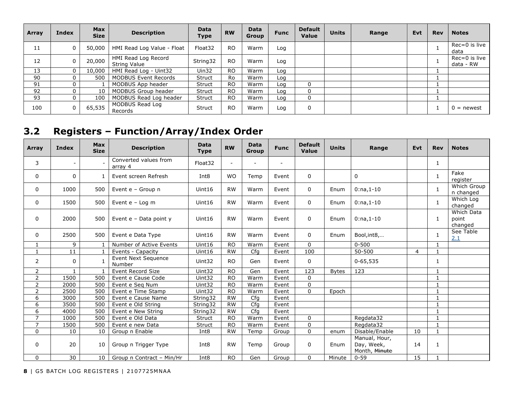| Array | <b>Index</b> | <b>Max</b><br><b>Size</b> | <b>Description</b>                  | <b>Data</b><br>Type | <b>RW</b>      | Data<br><b>Group</b> | <b>Func</b> | <b>Default</b><br><b>Value</b> | <b>Units</b> | Range | Evt | <b>Rev</b> | <b>Notes</b>               |
|-------|--------------|---------------------------|-------------------------------------|---------------------|----------------|----------------------|-------------|--------------------------------|--------------|-------|-----|------------|----------------------------|
| 11    | 0            | 50,000                    | HMI Read Log Value - Float          | Float32             | <sub>RO</sub>  | Warm                 | Log         |                                |              |       |     |            | $Rec = 0$ is live<br>data  |
| 12    | 0            | 20,000                    | HMI Read Log Record<br>String Value | String32            | <sub>RO</sub>  | Warm                 | Log         |                                |              |       |     |            | Rec=0 is live<br>data - RW |
| 13    | 0            | 10,000                    | HMI Read Log - Uint32               | Uin32               | <sub>RO</sub>  | Warm                 | Log         |                                |              |       |     |            |                            |
| 90    | 0            | 500                       | <b>MODBUS Event Records</b>         | Struct              | Ro             | Warm                 | Log         |                                |              |       |     |            |                            |
| 91    | 0            |                           | MODBUS App header                   | Struct              | <sub>RO</sub>  | Warm                 | Log         |                                |              |       |     |            |                            |
| 92    | 0            | 10                        | MODBUS Group header                 | <b>Struct</b>       | <sub>RO</sub>  | Warm                 | Loa         |                                |              |       |     |            |                            |
| 93    | $\mathbf{0}$ | 100                       | MODBUS Read Log header              | Struct              | <sub>RO</sub>  | Warm                 | Log         |                                |              |       |     |            |                            |
| 100   | 0            | 65,535                    | MODBUS Read Log<br>Records          | <b>Struct</b>       | R <sub>O</sub> | Warm                 | Log         |                                |              |       |     |            | $0 =$ newest               |

## **3.2 Registers – Function/Array/Index Order**

| <b>Array</b>   | Index                    | <b>Max</b><br><b>Size</b> | <b>Description</b>               | <b>Data</b><br><b>Type</b> | <b>RW</b>                | <b>Data</b><br><b>Group</b> | <b>Func</b> | <b>Default</b><br>Value | <b>Units</b> | Range                                        | Evt            | <b>Rev</b>   | <b>Notes</b>                   |
|----------------|--------------------------|---------------------------|----------------------------------|----------------------------|--------------------------|-----------------------------|-------------|-------------------------|--------------|----------------------------------------------|----------------|--------------|--------------------------------|
| 3              | $\overline{\phantom{a}}$ |                           | Converted values from<br>array 4 | Float32                    | $\overline{\phantom{0}}$ |                             |             |                         |              |                                              |                | 1            |                                |
| 0              | 0                        |                           | Event screen Refresh             | Int8                       | <b>WO</b>                | Temp                        | Event       | 0                       |              | $\mathbf 0$                                  |                | 1            | Fake<br>register               |
| 0              | 1000                     | 500                       | Event e - Group n                | Uint16                     | <b>RW</b>                | Warm                        | Event       | 0                       | Enum         | $0:na,1-10$                                  |                | $\mathbf{1}$ | Which Group<br>n changed       |
| 0              | 1500                     | 500                       | Event $e - Log m$                | Uint16                     | <b>RW</b>                | Warm                        | Event       | 0                       | Enum         | $0:na, 1-10$                                 |                | 1            | Which Log<br>changed           |
| 0              | 2000                     | 500                       | Event e - Data point y           | Uint16                     | <b>RW</b>                | Warm                        | Event       | 0                       | Enum         | $0:na, 1-10$                                 |                | 1            | Which Data<br>point<br>changed |
| 0              | 2500                     | 500                       | Event e Data Type                | Uint16                     | <b>RW</b>                | Warm                        | Event       | $\mathbf{0}$            | Enum         | Bool, int8,                                  |                | $\mathbf{1}$ | See Table<br>2.1               |
| 1              | 9                        |                           | Number of Active Events          | Uint16                     | <b>RO</b>                | Warm                        | Event       | $\Omega$                |              | $0 - 500$                                    |                | $\mathbf{1}$ |                                |
| $\mathbf{1}$   | 11                       |                           | Events - Capacity                | Uint16                     | <b>RW</b>                | Cfg                         | Event       | 100                     |              | 50-500                                       | $\overline{4}$ | $\mathbf{1}$ |                                |
| $\overline{2}$ | $\mathbf{0}$             |                           | Event Next Sequence<br>Number    | Uint32                     | <b>RO</b>                | Gen                         | Event       | 0                       |              | $0 - 65,535$                                 |                | 1            |                                |
| $\overline{a}$ | $\mathbf{1}$             |                           | Event Record Size                | Uint32                     | <b>RO</b>                | Gen                         | Event       | 123                     | <b>Bytes</b> | 123                                          |                | $\mathbf{1}$ |                                |
| $\overline{2}$ | 1500                     | 500                       | Event e Cause Code               | Uint32                     | <b>RO</b>                | Warm                        | Event       | $\Omega$                |              |                                              |                | $\mathbf{1}$ |                                |
| $\overline{2}$ | 2000                     | 500                       | Event e Seq Num                  | Uint32                     | <b>RO</b>                | Warm                        | Event       | 0                       |              |                                              |                | $\mathbf{1}$ |                                |
| $\overline{2}$ | 2500                     | 500                       | Event e Time Stamp               | Uint32                     | <b>RO</b>                | Warm                        | Event       | $\mathbf{0}$            | Epoch        |                                              |                | $\mathbf{1}$ |                                |
| 6              | 3000                     | 500                       | Event e Cause Name               | String32                   | <b>RW</b>                | Cfa                         | Event       |                         |              |                                              |                | $\mathbf{1}$ |                                |
| 6              | 3500                     | 500                       | Event e Old String               | String32                   | <b>RW</b>                | Cfq                         | Event       |                         |              |                                              |                | $\mathbf{1}$ |                                |
| 6              | 4000                     | 500                       | Event e New String               | String32                   | <b>RW</b>                | Cfg                         | Event       |                         |              |                                              |                | $\mathbf{1}$ |                                |
| 7              | 1000                     | 500                       | Event e Old Data                 | Struct                     | <b>RO</b>                | Warm                        | Event       | $\Omega$                |              | Regdata32                                    |                | $\mathbf{1}$ |                                |
| $\overline{7}$ | 1500                     | 500                       | Event e new Data                 | Struct                     | <b>RO</b>                | Warm                        | Event       | 0                       |              | Regdata32                                    |                | $\mathbf{1}$ |                                |
| 0              | 10                       | 10                        | Group n Enable                   | Int8                       | <b>RW</b>                | Temp                        | Group       | $\Omega$                | enum         | Disable/Enable                               | 10             | $\mathbf{1}$ |                                |
| 0              | 20                       | 10                        | Group n Trigger Type             | Int <sub>8</sub>           | <b>RW</b>                | Temp                        | Group       | 0                       | Enum         | Manual, Hour,<br>Day, Week,<br>Month, Minute | 14             | 1            |                                |
| 0              | 30                       | 10                        | Group n Contract - Min/Hr        | Int8                       | <b>RO</b>                | Gen                         | Group       | 0                       | Minute       | $0 - 59$                                     | 15             |              |                                |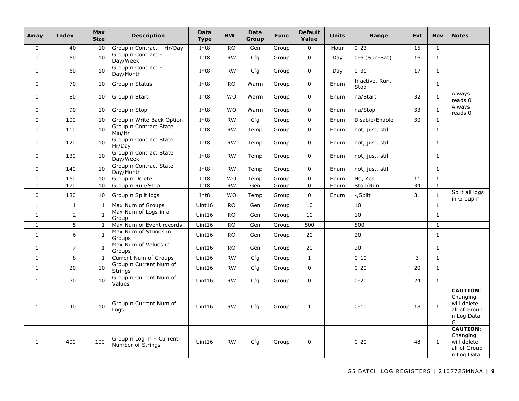| Array        | Index          | <b>Max</b><br><b>Size</b> | <b>Description</b>                           | <b>Data</b><br><b>Type</b> | <b>RW</b> | <b>Data</b><br>Group | <b>Func</b> | <b>Default</b><br>Value | <b>Units</b> | Range                  | <b>Evt</b> | <b>Rev</b>   | <b>Notes</b>                                                                  |
|--------------|----------------|---------------------------|----------------------------------------------|----------------------------|-----------|----------------------|-------------|-------------------------|--------------|------------------------|------------|--------------|-------------------------------------------------------------------------------|
| 0            | 40             | 10                        | Group n Contract - Hr/Day                    | Int <sub>8</sub>           | <b>RO</b> | Gen                  | Group       | $\mathbf 0$             | Hour         | $0 - 23$               | 15         | $\mathbf{1}$ |                                                                               |
| $\mathbf 0$  | 50             | 10                        | Group n Contract -<br>Day/Week               | Int <sub>8</sub>           | <b>RW</b> | Cfg                  | Group       | $\Omega$                | Day          | $0-6$ (Sun-Sat)        | 16         | $\mathbf{1}$ |                                                                               |
| 0            | 60             | 10                        | Group n Contract -<br>Day/Month              | Int <sub>8</sub>           | <b>RW</b> | Cfg                  | Group       | $\overline{0}$          | Day          | $0 - 31$               | 17         | $\mathbf{1}$ |                                                                               |
| $\mathbf 0$  | 70             | 10                        | Group n Status                               | Int <sub>8</sub>           | <b>RO</b> | Warm                 | Group       | $\Omega$                | Enum         | Inactive, Run,<br>Stop |            | $\mathbf{1}$ |                                                                               |
| 0            | 80             | 10                        | Group n Start                                | Int <sub>8</sub>           | <b>WO</b> | Warm                 | Group       | $\Omega$                | Enum         | na/Start               | 32         | $\mathbf{1}$ | Always<br>reads 0                                                             |
| 0            | 90             | 10                        | Group n Stop                                 | Int <sub>8</sub>           | <b>WO</b> | Warm                 | Group       | $\Omega$                | Enum         | na/Stop                | 33         | $\mathbf{1}$ | Always<br>reads 0                                                             |
| $\mathbf 0$  | 100            | 10                        | Group n Write Back Option                    | Int <sub>8</sub>           | <b>RW</b> | Cfg                  | Group       | $\Omega$                | Enum         | Disable/Enable         | 30         | $\mathbf{1}$ |                                                                               |
| $\mathbf 0$  | 110            | 10                        | Group n Contract State<br>Min/Hr             | Int8                       | <b>RW</b> | Temp                 | Group       | $\mathbf 0$             | Enum         | not, just, stil        |            | $\mathbf{1}$ |                                                                               |
| 0            | 120            | 10                        | Group n Contract State<br>Hr/Day             | Int8                       | <b>RW</b> | Temp                 | Group       | 0                       | Enum         | not, just, stil        |            | $\mathbf{1}$ |                                                                               |
| 0            | 130            | 10                        | Group n Contract State<br>Day/Week           | Int8                       | <b>RW</b> | Temp                 | Group       | $\Omega$                | Enum         | not, just, stil        |            | $\mathbf{1}$ |                                                                               |
| 0            | 140            | 10                        | Group n Contract State<br>Day/Month          | Int8                       | <b>RW</b> | Temp                 | Group       | 0                       | Enum         | not, just, stil        |            | 1            |                                                                               |
| $\mathbf 0$  | 160            | 10                        | Group n Delete                               | Int <sub>8</sub>           | <b>WO</b> | Temp                 | Group       | $\Omega$                | Enum         | No, Yes                | 11         | $\mathbf{1}$ |                                                                               |
| 0            | 170            | 10                        | Group n Run/Stop                             | Int <sub>8</sub>           | <b>RW</b> | Gen                  | Group       | $\Omega$                | Enum         | Stop/Run               | 34         | $\mathbf{1}$ |                                                                               |
| 0            | 180            | 10                        | Group n Split logs                           | Int <sub>8</sub>           | <b>WO</b> | Temp                 | Group       | 0                       | Enum         | -,Split                | 31         | $\mathbf{1}$ | Split all logs<br>in Group n                                                  |
| $\mathbf{1}$ | $\mathbf{1}$   | $\mathbf{1}$              | Max Num of Groups                            | Uint16                     | <b>RO</b> | Gen                  | Group       | 10                      |              | 10                     |            | $\mathbf{1}$ |                                                                               |
| $\mathbf{1}$ | $\overline{2}$ | $\mathbf{1}$              | Max Num of Logs in a<br>Group                | Uint16                     | <b>RO</b> | Gen                  | Group       | 10                      |              | 10                     |            | $\mathbf{1}$ |                                                                               |
| $\mathbf{1}$ | $\overline{5}$ | $\mathbf{1}$              | Max Num of Event records                     | Uint16                     | <b>RO</b> | Gen                  | Group       | 500                     |              | 500                    |            | $\mathbf{1}$ |                                                                               |
| $\mathbf{1}$ | 6              | $\mathbf{1}$              | Max Num of Strings in<br>Groups              | Uint16                     | <b>RO</b> | Gen                  | Group       | 20                      |              | 20                     |            | $\mathbf{1}$ |                                                                               |
| $\mathbf{1}$ | $\overline{7}$ | 1                         | Max Num of Values in<br>Groups               | Uint16                     | <b>RO</b> | Gen                  | Group       | 20                      |              | 20                     |            | $\mathbf{1}$ |                                                                               |
| $\mathbf{1}$ | 8              | 1                         | Current Num of Groups                        | Uint16                     | RW        | Cfg                  | Group       | $\mathbf{1}$            |              | $0 - 10$               | 3          | $\mathbf{1}$ |                                                                               |
| $\mathbf{1}$ | 20             | 10                        | Group n Current Num of<br><b>Strings</b>     | Uint16                     | <b>RW</b> | Cfg                  | Group       | $\Omega$                |              | $0 - 20$               | 20         | $\mathbf{1}$ |                                                                               |
| $\mathbf{1}$ | 30             | 10                        | Group n Current Num of<br>Values             | Uint16                     | <b>RW</b> | Cfg                  | Group       | $\Omega$                |              | $0 - 20$               | 24         | $\mathbf{1}$ |                                                                               |
| 1            | 40             | 10                        | Group n Current Num of<br>Logs               | Uint16                     | <b>RW</b> | Cfg                  | Group       | $\mathbf{1}$            |              | $0 - 10$               | 18         | $\mathbf{1}$ | <b>CAUTION:</b><br>Changing<br>will delete<br>all of Group<br>n Log Data<br>G |
| 1            | 400            | 100                       | Group n Log m - Current<br>Number of Strings | Uint16                     | <b>RW</b> | Cfg                  | Group       | 0                       |              | $0 - 20$               | 48         | $\mathbf{1}$ | <b>CAUTION:</b><br>Changing<br>will delete<br>all of Group<br>n Log Data      |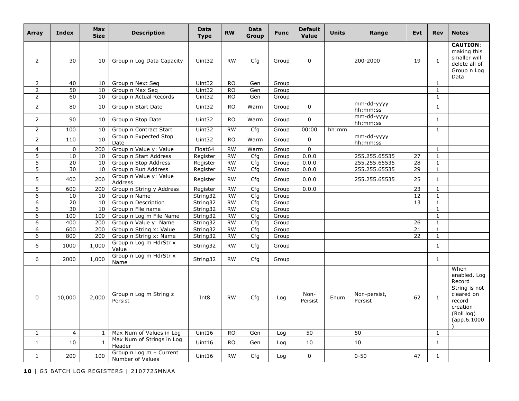| Array          | <b>Index</b>   | <b>Max</b><br><b>Size</b> | <b>Description</b>                          | <b>Data</b><br><b>Type</b> | <b>RW</b> | <b>Data</b><br>Group | <b>Func</b> | <b>Default</b><br>Value | <b>Units</b> | Range                   | <b>Evt</b> | <b>Rev</b>   | <b>Notes</b>                                                                                                    |
|----------------|----------------|---------------------------|---------------------------------------------|----------------------------|-----------|----------------------|-------------|-------------------------|--------------|-------------------------|------------|--------------|-----------------------------------------------------------------------------------------------------------------|
| $\overline{2}$ | 30             | 10                        | Group n Log Data Capacity                   | Uint32                     | <b>RW</b> | Cfg                  | Group       | 0                       |              | 200-2000                | 19         | $\mathbf{1}$ | <b>CAUTION:</b><br>making this<br>smaller will<br>delete all of<br>Group n Log<br>Data                          |
| $\overline{2}$ | 40             | 10                        | Group n Next Seq                            | Uint32                     | <b>RO</b> | Gen                  | Group       |                         |              |                         |            | $\mathbf{1}$ |                                                                                                                 |
| $\overline{2}$ | 50             | 10                        | Group n Max Seq                             | Uint32                     | <b>RO</b> | Gen                  | Group       |                         |              |                         |            | $\mathbf{1}$ |                                                                                                                 |
| 2              | 60             | 10                        | Group n Actual Records                      | Uint32                     | <b>RO</b> | Gen                  | Group       |                         |              |                         |            | $\mathbf{1}$ |                                                                                                                 |
| $\overline{2}$ | 80             | 10                        | Group n Start Date                          | Uint32                     | <b>RO</b> | Warm                 | Group       | 0                       |              | mm-dd-yyyy<br>hh:mm:ss  |            | $\mathbf{1}$ |                                                                                                                 |
| $\overline{2}$ | 90             | 10                        | Group n Stop Date                           | Uint32                     | <b>RO</b> | Warm                 | Group       | 0                       |              | mm-dd-yyyy<br>hh:mm:ss  |            | $\mathbf{1}$ |                                                                                                                 |
| $\overline{2}$ | 100            | 10                        | Group n Contract Start                      | Uint32                     | <b>RW</b> | Cfg                  | Group       | 00:00                   | hh:mm        |                         |            | $\mathbf 1$  |                                                                                                                 |
| $\overline{2}$ | 110            | 10                        | Group n Expected Stop<br>Date               | Uint32                     | <b>RO</b> | Warm                 | Group       | $\mathbf 0$             |              | mm-dd-yyyy<br>hh:mm:ss  |            |              |                                                                                                                 |
| $\overline{4}$ | $\mathbf{0}$   | 200                       | Group n Value y: Value                      | Float64                    | <b>RW</b> | Warm                 | Group       | $\Omega$                |              |                         |            | $\mathbf{1}$ |                                                                                                                 |
| 5              | 10             | 10                        | Group n Start Address                       | Register                   | <b>RW</b> | Cfq                  | Group       | 0.0.0                   |              | 255.255.65535           | 27         | $\mathbf{1}$ |                                                                                                                 |
| $\overline{5}$ | 20             | 10                        | Group n Stop Address                        | Register                   | <b>RW</b> | Cfq                  | Group       | 0.0.0                   |              | 255.255.65535           | 28         | $\mathbf{1}$ |                                                                                                                 |
| 5              | 30             | 10                        | Group n Run Address                         | Register                   | <b>RW</b> | Cfg                  | Group       | 0.0.0                   |              | 255.255.65535           | 29         | $\mathbf{1}$ |                                                                                                                 |
| 5              | 400            | 200                       | Group n Value y: Value<br><b>Address</b>    | Register                   | <b>RW</b> | Cfg                  | Group       | 0.0.0                   |              | 255.255.65535           | 25         | $\mathbf{1}$ |                                                                                                                 |
| 5              | 600            | 200                       | Group n String y Address                    | Register                   | <b>RW</b> | Cfg                  | Group       | 0.0.0                   |              |                         | 23         | $\mathbf{1}$ |                                                                                                                 |
| 6              | 10             | 10                        | Group n Name                                | String32                   | <b>RW</b> | Cfq                  | Group       |                         |              |                         | 12         | $\mathbf{1}$ |                                                                                                                 |
| 6              | 20             | 10                        | Group n Description                         | String32                   | <b>RW</b> | Cfq                  | Group       |                         |              |                         | 13         | $\mathbf{1}$ |                                                                                                                 |
| 6              | 30             | 10                        | Group n File name                           | String32                   | <b>RW</b> | Cfg                  | Group       |                         |              |                         |            | $\mathbf{1}$ |                                                                                                                 |
| 6              | 100            | 100                       | Group n Log m File Name                     | String32                   | <b>RW</b> | Cfq                  | Group       |                         |              |                         |            | $\mathbf{1}$ |                                                                                                                 |
| 6              | 400            | 200                       | Group n Value y: Name                       | String32                   | <b>RW</b> | Cfg                  | Group       |                         |              |                         | 26         | $\mathbf{1}$ |                                                                                                                 |
| 6              | 600            | 200                       | Group n String x: Value                     | String32                   | <b>RW</b> | Cfg                  | Group       |                         |              |                         | 21         | $\mathbf{1}$ |                                                                                                                 |
| 6              | 800            | 200                       | Group n String x: Name                      | String32                   | <b>RW</b> | Cfg                  | Group       |                         |              |                         | 22         | $\mathbf{1}$ |                                                                                                                 |
| 6              | 1000           | 1,000                     | Group n Log m HdrStr x<br>Value             | String32                   | <b>RW</b> | Cfg                  | Group       |                         |              |                         |            | $\mathbf{1}$ |                                                                                                                 |
| 6              | 2000           | 1,000                     | Group n Log m HdrStr x<br>Name              | String32                   | <b>RW</b> | Cfg                  | Group       |                         |              |                         |            | $\mathbf{1}$ |                                                                                                                 |
| 0              | 10,000         | 2,000                     | Group n Log m String z<br>Persist           | Int <sub>8</sub>           | <b>RW</b> | Cfq                  | Log         | Non-<br>Persist         | Enum         | Non-persist,<br>Persist | 62         | $\mathbf{1}$ | When<br>enabled, Log<br>Record<br>String is not<br>cleared on<br>record<br>creation<br>(Roll log)<br>(ap.6.1000 |
| $\mathbf{1}$   | $\overline{4}$ | $\mathbf{1}$              | Max Num of Values in Log                    | Uint16                     | <b>RO</b> | Gen                  | Log         | 50                      |              | 50                      |            | $\mathbf{1}$ |                                                                                                                 |
| $\mathbf{1}$   | 10             | 1                         | Max Num of Strings in Log<br>Header         | Uint16                     | RO.       | Gen                  | Log         | 10                      |              | 10                      |            | $\mathbf{1}$ |                                                                                                                 |
| $\mathbf{1}$   | 200            | 100                       | Group n Log m - Current<br>Number of Values | Uint16                     | <b>RW</b> | Cfg                  | Log         | $\Omega$                |              | $0 - 50$                | 47         | $\mathbf{1}$ |                                                                                                                 |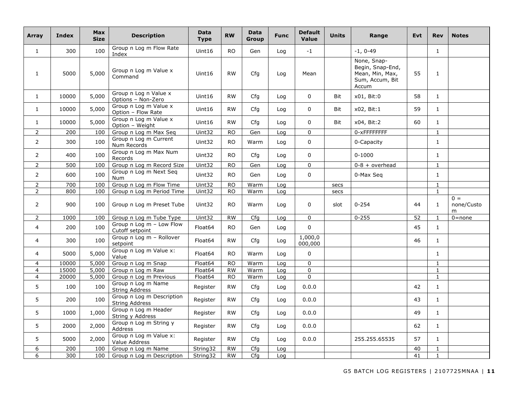| Array          | <b>Index</b> | Max<br><b>Size</b> | <b>Description</b>                                 | <b>Data</b><br><b>Type</b> | <b>RW</b> | <b>Data</b><br>Group | <b>Func</b> | <b>Default</b><br>Value | <b>Units</b> | Range                                                                          | <b>Evt</b> | <b>Rev</b>   | <b>Notes</b>              |
|----------------|--------------|--------------------|----------------------------------------------------|----------------------------|-----------|----------------------|-------------|-------------------------|--------------|--------------------------------------------------------------------------------|------------|--------------|---------------------------|
| $\mathbf{1}$   | 300          | 100                | Group n Log m Flow Rate<br>Index                   | Uint16                     | <b>RO</b> | Gen                  | Log         | $-1$                    |              | $-1, 0-49$                                                                     |            | $\mathbf{1}$ |                           |
| $\mathbf{1}$   | 5000         | 5,000              | Group n Log m Value x<br>Command                   | Unit16                     | <b>RW</b> | Cfa                  | Log         | Mean                    |              | None, Snap-<br>Begin, Snap-End,<br>Mean, Min, Max,<br>Sum, Accum, Bit<br>Accum | 55         | $\mathbf{1}$ |                           |
| $\mathbf{1}$   | 10000        | 5,000              | Group n Log n Value x<br>Options - Non-Zero        | Uint16                     | <b>RW</b> | Cfq                  | Log         | $\Omega$                | <b>Bit</b>   | x01, Bit:0                                                                     | 58         | $\mathbf{1}$ |                           |
| $\mathbf{1}$   | 10000        | 5,000              | Group n Log m Value x<br>Option - Flow Rate        | Uint16                     | <b>RW</b> | Cfa                  | Log         | $\Omega$                | <b>Bit</b>   | x02, Bit:1                                                                     | 59         | $\mathbf{1}$ |                           |
| $\mathbf{1}$   | 10000        | 5,000              | Group n Log m Value x<br>Option - Weight           | Uint16                     | <b>RW</b> | Cfg                  | Log         | 0                       | Bit          | x04, Bit:2                                                                     | 60         | $\mathbf{1}$ |                           |
| $\overline{2}$ | 200          | 100                | Group n Log m Max Seq                              | Uint32                     | <b>RO</b> | Gen                  | Log         | 0                       |              | 0-xFFFFFFFF                                                                    |            | $\mathbf{1}$ |                           |
| $\overline{2}$ | 300          | 100                | Group n Log m Current<br>Num Records               | Uint32                     | <b>RO</b> | Warm                 | Log         | $\Omega$                |              | 0-Capacity                                                                     |            | $\mathbf{1}$ |                           |
| $\overline{2}$ | 400          | 100                | Group n Log m Max Num<br>Records                   | Uint32                     | <b>RO</b> | Cfg                  | Log         | $\Omega$                |              | $0 - 1000$                                                                     |            | $\mathbf{1}$ |                           |
| $\overline{2}$ | 500          | 100                | Group n Log m Record Size                          | Uint32                     | <b>RO</b> | Gen                  | Loa         | 0                       |              | $0-8 + overhead$                                                               |            | $\mathbf{1}$ |                           |
| $\overline{2}$ | 600          | 100                | Group n Log m Next Seq<br>Num                      | Uint32                     | <b>RO</b> | Gen                  | Log         | $\mathbf 0$             |              | 0-Max Seg                                                                      |            | $\mathbf{1}$ |                           |
| $\overline{2}$ | 700          | 100                | Group n Log m Flow Time                            | Uint32                     | <b>RO</b> | Warm                 | Log         |                         | secs         |                                                                                |            | $\mathbf{1}$ |                           |
| $\overline{2}$ | 800          | 100                | Group n Log m Period Time                          | Uint32                     | <b>RO</b> | Warm                 | Log         |                         | secs         |                                                                                |            | $\mathbf{1}$ |                           |
| $\overline{2}$ | 900          | 100                | Group n Log m Preset Tube                          | Uint32                     | <b>RO</b> | Warm                 | Log         | $\Omega$                | slot         | $0 - 254$                                                                      | 44         | $\mathbf{1}$ | $0 =$<br>none/Custo<br>m. |
| $\overline{2}$ | 1000         | 100                | Group n Log m Tube Type                            | Uint32                     | <b>RW</b> | Cfg                  | Log         | $\Omega$                |              | $0 - 255$                                                                      | 52         | $\mathbf{1}$ | $0 = none$                |
| $\overline{4}$ | 200          | 100                | Group n Log m - Low Flow<br>Cutoff setpoint        | Float64                    | <b>RO</b> | Gen                  | Log         | 0                       |              |                                                                                | 45         | $\mathbf{1}$ |                           |
| 4              | 300          | 100                | Group n Log m - Rollover<br>setpoint               | Float64                    | <b>RW</b> | Cfa                  | Loa         | 1,000,0<br>000,000      |              |                                                                                | 46         | $\mathbf{1}$ |                           |
| 4              | 5000         | 5,000              | Group n Log m Value x:<br>Value                    | Float64                    | <b>RO</b> | Warm                 | Log         | 0                       |              |                                                                                |            | $\mathbf{1}$ |                           |
| $\overline{4}$ | 10000        | 5,000              | Group n Log m Snap                                 | Float64                    | <b>RO</b> | Warm                 | Log         | 0                       |              |                                                                                |            | $\mathbf{1}$ |                           |
| $\overline{4}$ | 15000        | 5,000              | Group n Log m Raw                                  | Float64                    | <b>RW</b> | Warm                 | Log         | $\Omega$                |              |                                                                                |            | $\mathbf{1}$ |                           |
| $\overline{4}$ | 20000        | 5,000              | Group n Log m Previous                             | Float64                    | <b>RO</b> | Warm                 | Log         | 0                       |              |                                                                                |            | 1            |                           |
| 5              | 100          | 100                | Group n Log m Name<br><b>String Address</b>        | Register                   | <b>RW</b> | Cfg                  | Log         | 0.0.0                   |              |                                                                                | 42         | $\mathbf{1}$ |                           |
| 5              | 200          | 100                | Group n Log m Description<br><b>String Address</b> | Register                   | <b>RW</b> | Cfq                  | Log         | 0.0.0                   |              |                                                                                | 43         | $\mathbf{1}$ |                           |
| 5              | 1000         | 1,000              | Group n Log m Header<br>String y Address           | Register                   | <b>RW</b> | Cfg                  | Log         | 0.0.0                   |              |                                                                                | 49         | $\mathbf{1}$ |                           |
| 5              | 2000         | 2,000              | Group n Log m String y<br>Address                  | Register                   | <b>RW</b> | Cfq                  | Log         | 0.0.0                   |              |                                                                                | 62         | $\mathbf{1}$ |                           |
| 5              | 5000         | 2,000              | Group n Log m Value x:<br>Value Address            | Register                   | <b>RW</b> | Cfg                  | Log         | 0.0.0                   |              | 255.255.65535                                                                  | 57         | $\mathbf{1}$ |                           |
| 6              | 200          | 100                | Group n Log m Name                                 | String32                   | <b>RW</b> | Cfg                  | Loa         |                         |              |                                                                                | 40         | $\mathbf{1}$ |                           |
| 6              | 300          | 100                | Group n Log m Description                          | String32                   | <b>RW</b> | Cfg                  | Log         |                         |              |                                                                                | 41         | $\mathbf{1}$ |                           |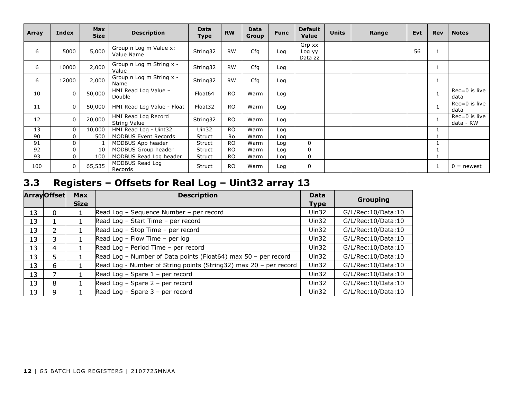| Array | Index        | <b>Max</b><br><b>Size</b> | <b>Description</b>                         | <b>Data</b><br><b>Type</b> | <b>RW</b> | <b>Data</b><br><b>Group</b> | <b>Func</b> | <b>Default</b><br>Value     | <b>Units</b> | Range | <b>Evt</b> | <b>Rev</b>   | <b>Notes</b>               |
|-------|--------------|---------------------------|--------------------------------------------|----------------------------|-----------|-----------------------------|-------------|-----------------------------|--------------|-------|------------|--------------|----------------------------|
| 6     | 5000         | 5,000                     | Group n Log m Value x:<br>Value Name       | String32                   | <b>RW</b> | Cfg                         | Log         | Grp xx<br>Log yy<br>Data zz |              |       | 56         |              |                            |
| 6     | 10000        | 2,000                     | Group n Log m String x -<br>Value          | String32                   | <b>RW</b> | Cfg                         | Log         |                             |              |       |            | T            |                            |
| 6     | 12000        | 2,000                     | Group n Log m String x -<br>Name           | String32                   | <b>RW</b> | Cfg                         | Log         |                             |              |       |            | <b>T</b>     |                            |
| 10    | $\mathbf 0$  | 50,000                    | HMI Read Log Value -<br>Double             | Float <sub>64</sub>        | <b>RO</b> | Warm                        | Log         |                             |              |       |            |              | Rec=0 is live<br>data      |
| 11    | $\mathbf 0$  | 50,000                    | HMI Read Log Value - Float                 | Float32                    | <b>RO</b> | Warm                        | Log         |                             |              |       |            | $\mathbf{1}$ | Rec=0 is live<br>data      |
| 12    | $\mathbf 0$  | 20,000                    | HMI Read Log Record<br><b>String Value</b> | String32                   | <b>RO</b> | Warm                        | Log         |                             |              |       |            | $\mathbf{1}$ | Rec=0 is live<br>data - RW |
| 13    | $\mathbf{0}$ | 10,000                    | HMI Read Log - Uint32                      | Uin32                      | <b>RO</b> | Warm                        | Log         |                             |              |       |            |              |                            |
| 90    | $\Omega$     | 500                       | <b>MODBUS Event Records</b>                | Struct                     | Ro        | Warm                        | Log         |                             |              |       |            |              |                            |
| 91    | 0            |                           | MODBUS App header                          | Struct                     | <b>RO</b> | Warm                        | Log         | $\Omega$                    |              |       |            |              |                            |
| 92    | $\mathbf 0$  | 10                        | MODBUS Group header                        | Struct                     | RO.       | Warm                        | Log         | $\Omega$                    |              |       |            |              |                            |
| 93    | $\mathbf 0$  | 100                       | MODBUS Read Log header                     | Struct                     | <b>RO</b> | Warm                        | Log         | 0                           |              |       |            |              |                            |
| 100   | 0            | 65,535                    | MODBUS Read Log<br>Records                 | Struct                     | <b>RO</b> | Warm                        | Log         | $\mathbf 0$                 |              |       |            | 1            | $0 =$ newest               |

## **3.3 Registers – Offsets for Real Log – Uint32 array 13**

|    | <b>ArrayOffset</b> | <b>Max</b>  | <b>Description</b>                                                | <b>Data</b> | Grouping           |
|----|--------------------|-------------|-------------------------------------------------------------------|-------------|--------------------|
|    |                    | <b>Size</b> |                                                                   | <b>Type</b> |                    |
| 13 | 0                  |             | Read Log - Sequence Number - per record                           | $U$ in 32   | G/L/Rec:10/Data:10 |
| 13 |                    |             | Read Log - Start Time - per record                                | Uin32       | G/L/Rec:10/Data:10 |
| 13 | $\mathcal{P}$      |             | Read Log - Stop Time - per record                                 | Uin32       | G/L/Rec:10/Data:10 |
| 13 | 3                  |             | Read Log - Flow Time - per log                                    | Uin $32$    | G/L/Rec:10/Data:10 |
| 13 | 4                  |             | Read Log - Period Time - per record                               | Uin32       | G/L/Rec:10/Data:10 |
| 13 | 5                  |             | Read Log - Number of Data points (Float64) max 50 - per record    | $U$ in 32   | G/L/Rec:10/Data:10 |
| 13 | 6                  |             | Read Log - Number of String points (String32) max 20 - per record | Uin32       | G/L/Rec:10/Data:10 |
| 13 |                    |             | Read Log - Spare $1$ - per record                                 | $U$ in 32   | G/L/Rec:10/Data:10 |
| 13 | 8                  |             | Read Log $-$ Spare 2 $-$ per record                               | Uin32       | G/L/Rec:10/Data:10 |
| 13 | 9                  |             | Read Log $-$ Spare 3 $-$ per record                               | Uin32       | G/L/Rec:10/Data:10 |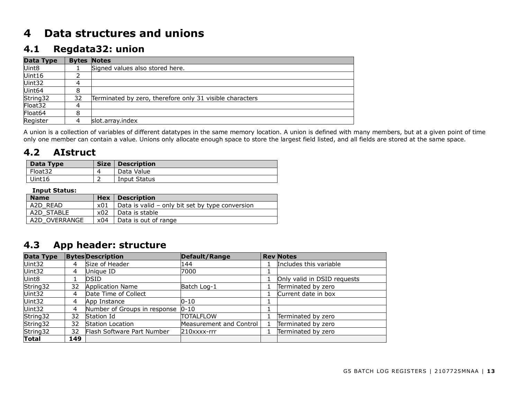## **4 Data structures and unions**

#### **4.1 Regdata32: union**

| <b>Data Type</b> |    | <b>Bytes Notes</b>                                       |
|------------------|----|----------------------------------------------------------|
| Uint8            |    | Signed values also stored here.                          |
| Uint16           |    |                                                          |
| Uint32           | 4  |                                                          |
| Uint64           | 8  |                                                          |
| String32         | 32 | Terminated by zero, therefore only 31 visible characters |
| Float32          | 4  |                                                          |
| Float64          | 8  |                                                          |
| Register         |    | slot.array.index                                         |

A union is a collection of variables of different datatypes in the same memory location. A union is defined with many members, but at a given point of time only one member can contain a value. Unions only allocate enough space to store the largest field listed, and all fields are stored at the same space.

#### **4.2 AIstruct**

| Data Type | <b>Size</b> | <b>Description</b> |
|-----------|-------------|--------------------|
| Float32   |             | Data Value         |
| Uint16    |             | Input Status       |

#### **Input Status:**

| <b>Name</b>   | Hex | <b>Description</b>                              |
|---------------|-----|-------------------------------------------------|
| A2D READ      | x01 | Data is valid – only bit set by type conversion |
| A2D STABLE    | x02 | Data is stable                                  |
| A2D OVERRANGE | x04 | Data is out of range                            |

#### **4.3 App header: structure**

| Data Type         |     | <b>Bytes Description</b>     | Default/Range           | <b>Rev Notes</b>            |
|-------------------|-----|------------------------------|-------------------------|-----------------------------|
| Uint32            | 4   | Size of Header               | 144                     | Includes this variable      |
| Uint32            | 4   | Unique ID                    | 7000                    |                             |
| Uint <sub>8</sub> |     | <b>DSID</b>                  |                         | Only valid in DSID requests |
| String32          | 32  | <b>Application Name</b>      | Batch Log-1             | Terminated by zero          |
| Uint32            | 4   | Date Time of Collect         |                         | Current date in box         |
| Uint32            | 4   | App Instance                 | $0 - 10$                |                             |
| Uint32            | 4   | Number of Groups in response | $0 - 10$                |                             |
| String32          | 32  | Station Id                   | <b>TOTALFLOW</b>        | Terminated by zero          |
| String32          | 32  | <b>Station Location</b>      | Measurement and Control | Terminated by zero          |
| String32          | 32  | Flash Software Part Number   | $210$ xxxx-rrr          | Terminated by zero          |
| <b>Total</b>      | 149 |                              |                         |                             |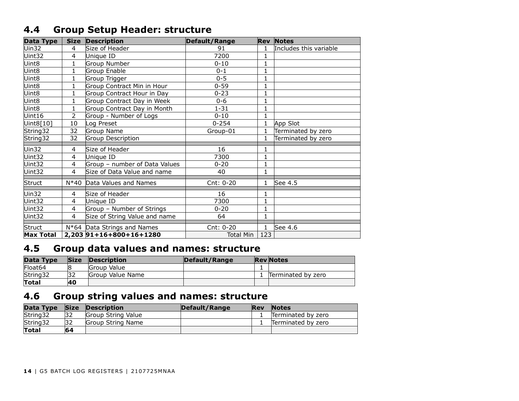### **4.4 Group Setup Header: structure**

| <b>Data Type</b> | <b>Size</b>    | <b>Description</b>            | <b>Default/Range</b> |              | <b>Rev Notes</b>       |
|------------------|----------------|-------------------------------|----------------------|--------------|------------------------|
| Uin32            | 4              | Size of Header                | 91                   | 1            | Includes this variable |
| Uint32           | 4              | Unique ID                     | 7200                 |              |                        |
| Uint8            | 1              | Group Number                  | $0 - 10$             | 1            |                        |
| Uint8            | $\mathbf{1}$   | Group Enable                  | $0 - 1$              | 1            |                        |
| Uint8            | 1              | Group Trigger                 | $0 - 5$              | 1            |                        |
| Uint8            | 1              | Group Contract Min in Hour    | $0 - 59$             | 1            |                        |
| Uint8            | $\mathbf{1}$   | Group Contract Hour in Day    | $0 - 23$             | $\mathbf{1}$ |                        |
| Uint8            | 1              | Group Contract Day in Week    | $0 - 6$              | 1            |                        |
| Uint8            | $\mathbf{1}$   | Group Contract Day in Month   | $1 - 31$             | $\mathbf{1}$ |                        |
| Uint16           | 2              | Group - Number of Logs        | $0 - 10$             | $\mathbf{1}$ |                        |
| Uint8[10]        | 10             | Log Preset                    | $0 - 254$            | 1            | App Slot               |
| String32         | 32             | Group Name                    | Group-01             | 1            | Terminated by zero     |
| String32         | 32             | Group Description             |                      | 1            | Terminated by zero     |
| Uin32            | 4              | Size of Header                | 16                   |              |                        |
| Uint32           | 4              | Unique ID                     | 7300                 | 1            |                        |
| Uint32           | 4              | Group - number of Data Values | $0 - 20$             | $\mathbf{1}$ |                        |
| Uint32           | 4              | Size of Data Value and name   | 40                   | 1            |                        |
| Struct           | N*40           | Data Values and Names         | Cnt: 0-20            | 1            | See 4.5                |
| Uin32            | 4              | Size of Header                | 16                   | 1            |                        |
| Uint32           | 4              | Unique ID                     | 7300                 | 1            |                        |
| Uint32           | 4              | Group - Number of Strings     | $0 - 20$             | 1            |                        |
| Uint32           | $\overline{4}$ | Size of String Value and name | 64                   | $\mathbf{1}$ |                        |
| <b>Struct</b>    |                | N*64 Data Strings and Names   | Cnt: 0-20            | 1            | See 4.6                |
| <b>Max Total</b> |                | 2,203 91+16+800+16+1280       | <b>Total Min</b>     | 123          |                        |

### **4.5 Group data values and names: structure**

| Data Type           | <b>Size</b> | <b>Description</b>      | Default/Range | <b>Rev</b> Notes   |
|---------------------|-------------|-------------------------|---------------|--------------------|
| Float <sub>64</sub> | 8           | Group Value             |               |                    |
| String32            | 32          | <b>Group Value Name</b> |               | Terminated by zero |
| Total               | <b>40</b>   |                         |               |                    |

### **4.6 Group string values and names: structure**

| Data Type | <b>Size</b> | Description               | Default/Range | <b>Rev</b> | <b>Notes</b>       |
|-----------|-------------|---------------------------|---------------|------------|--------------------|
| String32  | 32          | <b>Group String Value</b> |               |            | Terminated by zero |
| String32  | 32          | Group String Name         |               |            | Terminated by zero |
| Total     | 64          |                           |               |            |                    |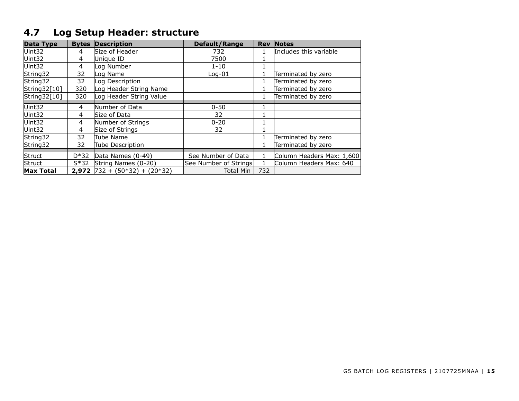## **4.7 Log Setup Header: structure**

| <b>Data Type</b> |        | <b>Bytes Description</b>                            | <b>Default/Range</b>  |     | <b>Rev Notes</b>          |
|------------------|--------|-----------------------------------------------------|-----------------------|-----|---------------------------|
| Uint32           | 4      | Size of Header                                      | 732                   |     | Includes this variable    |
| Uint32           | 4      | Unique ID                                           | 7500                  |     |                           |
| Uint32           | 4      | og Number                                           | $1 - 10$              |     |                           |
| String32         | 32     | og Name                                             | $Log-01$              |     | Terminated by zero        |
| String32         | 32     | og Description                                      |                       |     | Terminated by zero        |
| String32[10]     | 320    | Log Header String Name                              |                       |     | Terminated by zero        |
| String32[10]     | 320    | og Header String Value                              |                       |     | Terminated by zero        |
|                  |        |                                                     |                       |     |                           |
| Uint32           | 4      | Number of Data                                      | $0 - 50$              |     |                           |
| Uint32           | 4      | Size of Data                                        | 32                    |     |                           |
| Uint32           | 4      | Number of Strings                                   | $0 - 20$              |     |                           |
| Uint32           | 4      | Size of Strings                                     | 32                    |     |                           |
| String32         | 32     | <b>Tube Name</b>                                    |                       |     | Terminated by zero        |
| String32         | 32     | Tube Description                                    |                       |     | Terminated by zero        |
|                  |        |                                                     |                       |     |                           |
| <b>Struct</b>    | $D*32$ | Data Names (0-49)                                   | See Number of Data    |     | Column Headers Max: 1,600 |
| Struct           | $S*32$ | String Names (0-20)                                 | See Number of Strings |     | Column Headers Max: 640   |
| <b>Max Total</b> |        | <b>2,972</b> $\left[732 + (50*32) + (20*32)\right]$ | <b>Total Min</b>      | 732 |                           |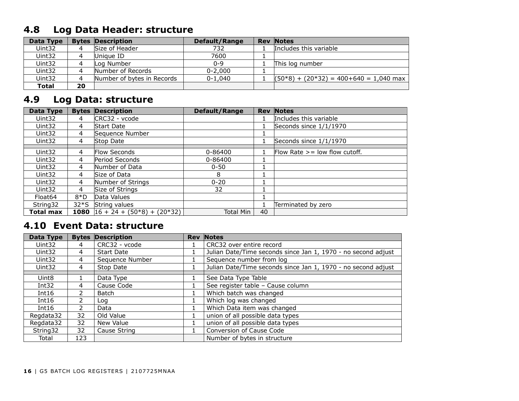## **4.8 Log Data Header: structure**

| Data Type    |    | <b>Bytes Description</b>   | Default/Range | <b>Rev Notes</b>                         |
|--------------|----|----------------------------|---------------|------------------------------------------|
| Uint32       |    | Size of Header             | 732           | Includes this variable                   |
| Uint32       |    | Unique ID                  | 7600          |                                          |
| Uint32       |    | Log Number                 | $0 - 9$       | This log number                          |
| Uint32       |    | Number of Records          | $0 - 2,000$   |                                          |
| Uint32       |    | Number of bytes in Records | $0 - 1.040$   | $(50*8) + (20*32) = 400+640 = 1,040$ max |
| <b>Total</b> | 20 |                            |               |                                          |

## **4.9 Log Data: structure**

| Data Type           | <b>Bytes</b> | <b>Description</b>                        | Default/Range | <b>Rev</b> | <b>Notes</b>                      |
|---------------------|--------------|-------------------------------------------|---------------|------------|-----------------------------------|
| Uint32              | 4            | CRC32 - vcode                             |               |            | Includes this variable            |
| Uint32              | 4            | Start Date                                |               |            | Seconds since 1/1/1970            |
| Uint32              | 4            | Sequence Number                           |               |            |                                   |
| Uint32              | 4            | Stop Date                                 |               |            | Seconds since 1/1/1970            |
|                     |              |                                           |               |            |                                   |
| Uint32              | 4            | <b>Flow Seconds</b>                       | 0-86400       |            | Flow Rate $\geq$ low flow cutoff. |
| Uint32              | 4            | Period Seconds                            | 0-86400       |            |                                   |
| Uint32              | 4            | Number of Data                            | $0 - 50$      |            |                                   |
| Uint32              | 4            | Size of Data                              | 8             |            |                                   |
| Uint32              | 4            | Number of Strings                         | $0 - 20$      |            |                                   |
| Uint32              | 4            | Size of Strings                           | 32            |            |                                   |
| Float <sub>64</sub> | $8*D$        | Data Values                               |               |            |                                   |
| String32            | $32*S$       | String values                             |               |            | Terminated by zero                |
| Total max           |              | <b>1080</b> $ 16 + 24 + (50*8) + (20*32)$ | Total Min     | 40         |                                   |

#### **4.10 Event Data: structure**

| Data Type         |     | <b>Bytes Description</b> | <b>Rev Notes</b>                                              |
|-------------------|-----|--------------------------|---------------------------------------------------------------|
| Uint32            | 4   | CRC32 - vcode            | CRC32 over entire record                                      |
| Uint32            | 4   | <b>Start Date</b>        | Julian Date/Time seconds since Jan 1, 1970 - no second adjust |
| Uint32            | 4   | Sequence Number          | Sequence number from log                                      |
| Uint32            | 4   | Stop Date                | Julian Date/Time seconds since Jan 1, 1970 - no second adjust |
|                   |     |                          |                                                               |
| Uint <sub>8</sub> |     | Data Type                | See Data Type Table                                           |
| Int $32$          | 4   | Cause Code               | See register table - Cause column                             |
| Int16             |     | Batch                    | Which batch was changed                                       |
| Int16             |     | Log                      | Which log was changed                                         |
| Int $16$          |     | Data                     | Which Data item was changed                                   |
| Regdata32         | 32  | Old Value                | union of all possible data types                              |
| Readata32         | 32  | New Value                | union of all possible data types                              |
| String 32         | 32  | Cause String             | Conversion of Cause Code                                      |
| Total             | 123 |                          | Number of bytes in structure                                  |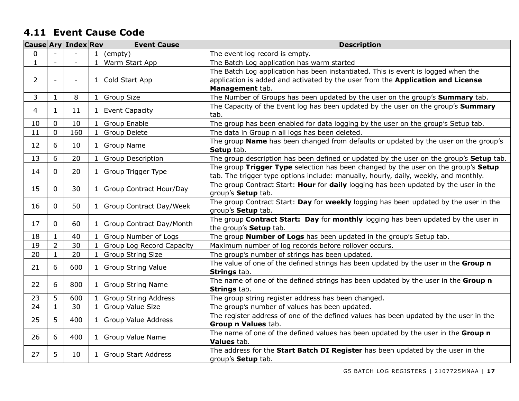#### **4.11 Event Cause Code**

|                |                | <b>Cause Ary Index Rev</b> |              | <b>Event Cause</b>        | <b>Description</b>                                                                                                               |  |
|----------------|----------------|----------------------------|--------------|---------------------------|----------------------------------------------------------------------------------------------------------------------------------|--|
| $\mathbf{0}$   |                |                            | $\mathbf{1}$ | (empty)                   | The event log record is empty.                                                                                                   |  |
| $\mathbf{1}$   |                |                            | $\mathbf{1}$ | Warm Start App            | The Batch Log application has warm started                                                                                       |  |
|                |                |                            |              |                           | The Batch Log application has been instantiated. This is event is logged when the                                                |  |
| $\overline{2}$ |                |                            | $\mathbf{1}$ | Cold Start App            | application is added and activated by the user from the Application and License                                                  |  |
|                |                |                            |              |                           | Management tab.                                                                                                                  |  |
| 3              | $\mathbf{1}$   | 8                          | $\mathbf{1}$ | <b>Group Size</b>         | The Number of Groups has been updated by the user on the group's <b>Summary</b> tab.                                             |  |
| 4              | $\mathbf{1}$   | 11                         | $\mathbf{1}$ | Event Capacity            | The Capacity of the Event log has been updated by the user on the group's $Summary$<br>tab.                                      |  |
| 10             | $\overline{0}$ | 10                         | $\mathbf{1}$ | Group Enable              | The group has been enabled for data logging by the user on the group's Setup tab.                                                |  |
| 11             | $\overline{0}$ | 160                        | $\mathbf{1}$ | Group Delete              | The data in Group n all logs has been deleted.                                                                                   |  |
| 12             | 6              | 10                         | $\mathbf{1}$ | Group Name                | The group <b>Name</b> has been changed from defaults or updated by the user on the group's<br>Setup tab.                         |  |
| 13             | 6              | 20                         | $\mathbf{1}$ | Group Description         | The group description has been defined or updated by the user on the group's <b>Setup</b> tab.                                   |  |
|                |                |                            |              |                           | The group Trigger Type selection has been changed by the user on the group's Setup                                               |  |
| 14             | 0              | 20                         | $\mathbf{1}$ | Group Trigger Type        | tab. The trigger type options include: manually, hourly, daily, weekly, and monthly.                                             |  |
|                | 15<br>0<br>30  |                            | $\mathbf{1}$ | Group Contract Hour/Day   | The group Contract Start: Hour for daily logging has been updated by the user in the                                             |  |
|                |                |                            |              |                           | group's <b>Setup</b> tab.                                                                                                        |  |
| 16             | $\overline{0}$ | 50                         | $\mathbf{1}$ | Group Contract Day/Week   | The group Contract Start: Day for weekly logging has been updated by the user in the<br>group's <b>Setup</b> tab.                |  |
| 17             | 0              | 60                         | $\mathbf{1}$ | Group Contract Day/Month  | The group <b>Contract Start: Day</b> for <b>monthly</b> logging has been updated by the user in<br>the group's <b>Setup</b> tab. |  |
| 18             | $\mathbf{1}$   | 40                         | $\mathbf{1}$ | Group Number of Logs      | The group <b>Number of Logs</b> has been updated in the group's Setup tab.                                                       |  |
| 19             | $\overline{2}$ | 30                         |              | Group Log Record Capacity | Maximum number of log records before rollover occurs.                                                                            |  |
| 20             | $\mathbf{1}$   | 20                         | $\mathbf{1}$ | <b>Group String Size</b>  | The group's number of strings has been updated.                                                                                  |  |
| 21             | 6              | 600                        | $\mathbf{1}$ | Group String Value        | The value of one of the defined strings has been updated by the user in the Group n<br>Strings tab.                              |  |
| 22             | 6              | 800                        | $\mathbf{1}$ | <b>Group String Name</b>  | The name of one of the defined strings has been updated by the user in the Group n<br>Strings tab.                               |  |
| 23             | 5              | 600                        | $\mathbf{1}$ | Group String Address      | The group string register address has been changed.                                                                              |  |
| 24             | $\mathbf{1}$   | 30                         | $\mathbf{1}$ | Group Value Size          | The group's number of values has been updated.                                                                                   |  |
| 25             | 5              | 400                        | $\mathbf{1}$ | Group Value Address       | The register address of one of the defined values has been updated by the user in the                                            |  |
|                |                |                            |              |                           | <b>Group n Values tab.</b>                                                                                                       |  |
| 26             | 6              | 400                        | $\mathbf{1}$ | Group Value Name          | The name of one of the defined values has been updated by the user in the Group n<br>Values tab.                                 |  |
| 27             | 5              | 10                         | $\mathbf{1}$ | Group Start Address       | The address for the <b>Start Batch DI Register</b> has been updated by the user in the<br>group's <b>Setup</b> tab.              |  |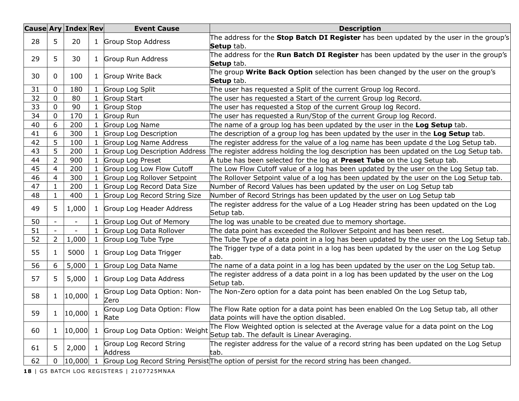|                    |                | <b>Cause Ary Index Rev</b> |              | <b>Event Cause</b>            | <b>Description</b>                                                                            |
|--------------------|----------------|----------------------------|--------------|-------------------------------|-----------------------------------------------------------------------------------------------|
| 28                 | 5              | 20                         | 1            | Group Stop Address            | The address for the Stop Batch DI Register has been updated by the user in the group's        |
|                    |                |                            |              |                               | Setup tab.                                                                                    |
| 5<br>29            |                | 30                         | $\mathbf{1}$ | Group Run Address             | The address for the <b>Run Batch DI Register</b> has been updated by the user in the group's  |
|                    |                |                            |              |                               | Setup tab.                                                                                    |
| 30                 | $\mathbf{0}$   | 100                        | 1            | Group Write Back              | The group <b>Write Back Option</b> selection has been changed by the user on the group's      |
|                    |                |                            |              |                               | Setup tab.                                                                                    |
| 31                 | 0              | 180                        | 1            | Group Log Split               | The user has requested a Split of the current Group log Record.                               |
| 32                 | $\mathbf 0$    | 80                         | 1            | Group Start                   | The user has requested a Start of the current Group log Record.                               |
| 33                 | 0              | 90                         | 1            | Group Stop                    | The user has requested a Stop of the current Group log Record.                                |
| 34                 | 0              | 170                        | $\mathbf{1}$ | Group Run                     | The user has requested a Run/Stop of the current Group log Record.                            |
| 40                 | 6              | 200                        | $\mathbf{1}$ | Group Log Name                | The name of a group log has been updated by the user in the Log Setup tab.                    |
| 41                 | 6              | 300                        | 1            | Group Log Description         | The description of a group log has been updated by the user in the Log Setup tab.             |
| 42                 | 5              | 100                        | 1            | Group Log Name Address        | The register address for the value of a log name has been update d the Log Setup tab.         |
| 43                 | 5              | 200                        |              | Group Log Description Address | The register address holding the log description has been updated on the Log Setup tab.       |
| 44                 | $\overline{2}$ | 900                        | 1            | Group Log Preset              | A tube has been selected for the log at Preset Tube on the Log Setup tab.                     |
| 45                 | $\overline{4}$ | 200                        | 1            | Group Log Low Flow Cutoff     | The Low Flow Cutoff value of a log has been updated by the user on the Log Setup tab.         |
| 46                 | 4              | 300                        | 1            | Group Log Rollover Setpoint   | The Rollover Setpoint value of a log has been updated by the user on the Log Setup tab.       |
| 47                 | $\mathbf{1}$   | 200                        |              | Group Log Record Data Size    | Number of Record Values has been updated by the user on Log Setup tab                         |
| 48                 | $\mathbf{1}$   | 400                        | 1            | Group Log Record String Size  | Number of Record Strings has been updated by the user on Log Setup tab                        |
|                    |                | 1,000                      | $\mathbf{1}$ | Group Log Header Address      | The register address for the value of a Log Header string has been updated on the Log         |
| 49                 | 5              |                            |              |                               | Setup tab.                                                                                    |
| 50                 |                | $\overline{\phantom{a}}$   | 1            | Group Log Out of Memory       | The log was unable to be created due to memory shortage.                                      |
| 51                 |                |                            | $\mathbf{1}$ | Group Log Data Rollover       | The data point has exceeded the Rollover Setpoint and has been reset.                         |
| 52                 | $\overline{2}$ | 1,000                      | $\mathbf{1}$ | Group Log Tube Type           | The Tube Type of a data point in a log has been updated by the user on the Log Setup tab.     |
|                    |                |                            |              |                               | The Trigger type of a data point in a log has been updated by the user on the Log Setup       |
| 55                 | $\mathbf{1}$   | 5000                       | $\mathbf{1}$ | Group Log Data Trigger        | tab.                                                                                          |
| 56                 | 6              | 5,000                      | $\mathbf{1}$ | Group Log Data Name           | The name of a data point in a log has been updated by the user on the Log Setup tab.          |
|                    |                |                            |              |                               | The register address of a data point in a log has been updated by the user on the Log         |
| 57                 | 5              | 5,000                      |              | 1 Group Log Data Address      | Setup tab.                                                                                    |
|                    |                |                            |              | Group Log Data Option: Non-   | The Non-Zero option for a data point has been enabled On the Log Setup tab,                   |
| 58                 | $\mathbf{1}$   | $ 10,000 $ 1               |              | Zero                          |                                                                                               |
|                    |                |                            |              | Group Log Data Option: Flow   | The Flow Rate option for a data point has been enabled On the Log Setup tab, all other        |
| 59                 | $\mathbf{1}$   | 10,000                     | -1           | Rate                          | data points will have the option disabled.                                                    |
| 60<br>$\mathbf{1}$ |                |                            | 1            | Group Log Data Option: Weight | The Flow Weighted option is selected at the Average value for a data point on the Log         |
|                    |                | 10,000                     |              |                               | Setup tab. The default is Linear Averaging.                                                   |
| 5.<br>61           |                | 2,000                      | 1            | Group Log Record String       | The register address for the value of a record string has been updated on the Log Setup       |
|                    |                |                            |              | <b>Address</b>                | tab.                                                                                          |
| 62                 | 0              | 10,000                     |              |                               | Group Log Record String Persist The option of persist for the record string has been changed. |
|                    |                |                            |              |                               |                                                                                               |